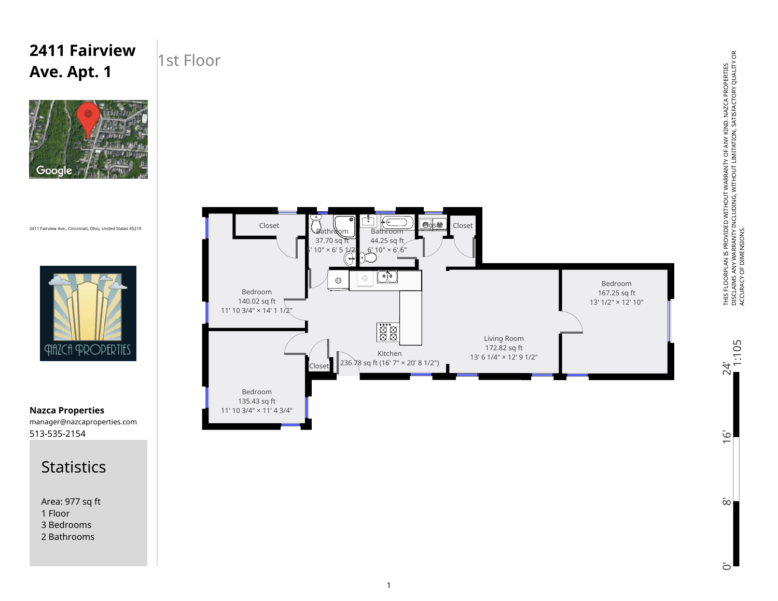## 1st Floor **Ave. Apt. 1**  $\dot{\vec{0}}$ ┌┞┐ Closet Closet Closet Bathi 44.25 sq ft 37.70 sq ft  $10" \times 6'$  5  $6'$  10" × 6'6'  $O\overline{C}$  $\odot$ Bedroom Bedroom 167.25 sq ft 140.02 sq ft 13' 1/2" × 12' 10" 11' 10 3/4" × 14' 1 1/2" Esta<br>Esta Living Room 172.82 sq ft Kitchen 13' 6 1/4" × 12' 9 1/2"  $C$ loset 236. $\bar{X}$ 8 sq ft (16' 7" × 20' 8 1/2") Bedroom 135.43 sq ft 11' 10 3/4" × 11' 4 3/4"

0' 8' 16' 24'

 $\infty$ 

Ō

 $\overline{6}$ 

 $24^{1}$ <br>1:105

2411 Fairview Ave., Cincinnati, Ohio, United States 45219

Google

**2411 Fairview** 



513-535-2154 manager@nazcaproperties.com **Nazca Properties**



Area: 977 sq ft 1 Floor 3 Bedrooms 2 Bathrooms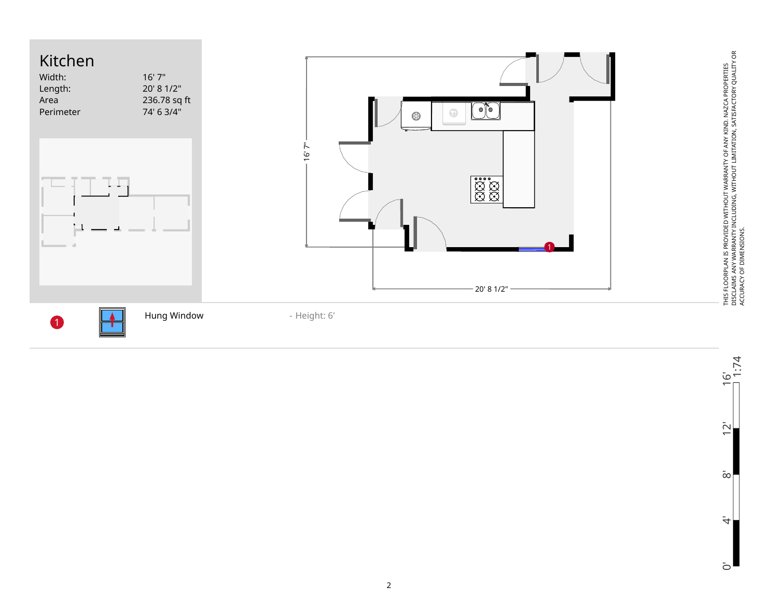

 $\frac{16}{1.74}$ 0' 4' 8' 12' 16'  $\overline{2}$  $\rm \bar{\infty}$  $\dot{4}$  $\overline{O}$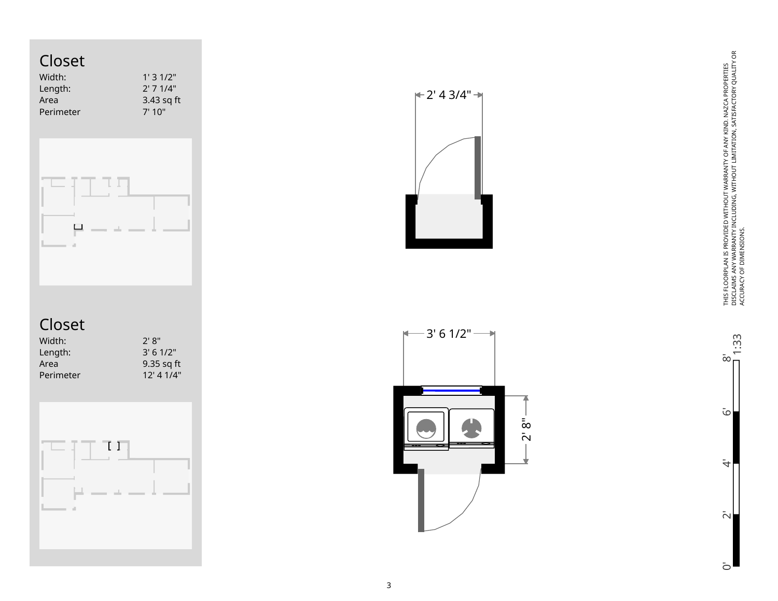## Closet

| Width:    | 1'31/2"     |
|-----------|-------------|
| Length:   | $2'$ 7 1/4" |
| Area      | 3.43 sq ft  |
| Perimeter | 7'10''      |
|           |             |



## Closet

| $2'$ 8"     |
|-------------|
| $3'$ 6 1/2" |
| 9.35 sq ft  |
| 12' 41/4"   |
|             |



 $|+2' 4 3/4"$   $\rightarrow$ 



THIS FLOORPLAN IS PROVIDED WITHOUT WARRANTY OF ANY KIND. NAZCA PROPERTIES<br>DISCLAIMS ANY WARRANTY INCLUDING, WITHOUT LIMITATION, SATISFACTORY QUALITY OR<br>ACCURACY OF DIMENSIONS. DISCLAIMS ANY WARRANTY INCLUDING, WITHOUT LIMITATION, SATISFACTORY QUALITY OR THIS FLOORPLAN IS PROVIDED WITHOUT WARRANTY OF ANY KIND. NAZCA PROPERTIES ACCURACY OF DIMENSIONS.

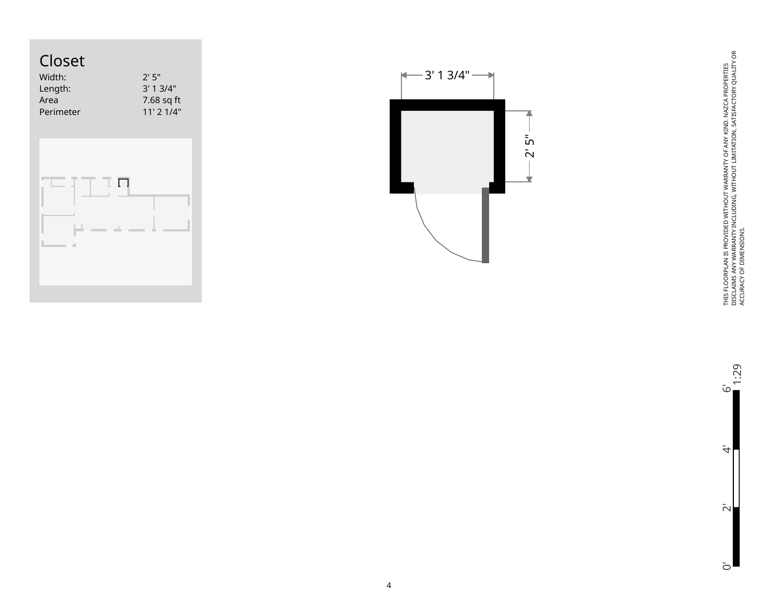



THIS FLOORPLAN IS PROVIDED WITHOUT WARRANTY OF ANY KIND. NAZCA PROPERTIES<br>DISCLAIMS ANY WARRANTY INCLUDING, WITHOUT LIMITATION, SATISFACTORY QUALITY OR<br>ACCURACY OF DIMENSIONS. DISCLAIMS ANY WARRANTY INCLUDING, WITHOUT LIMITATION, SATISFACTORY QUALITY OR THIS FLOORPLAN IS PROVIDED WITHOUT WARRANTY OF ANY KIND. NAZCA PROPERTIES ACCURACY OF DIMENSIONS.

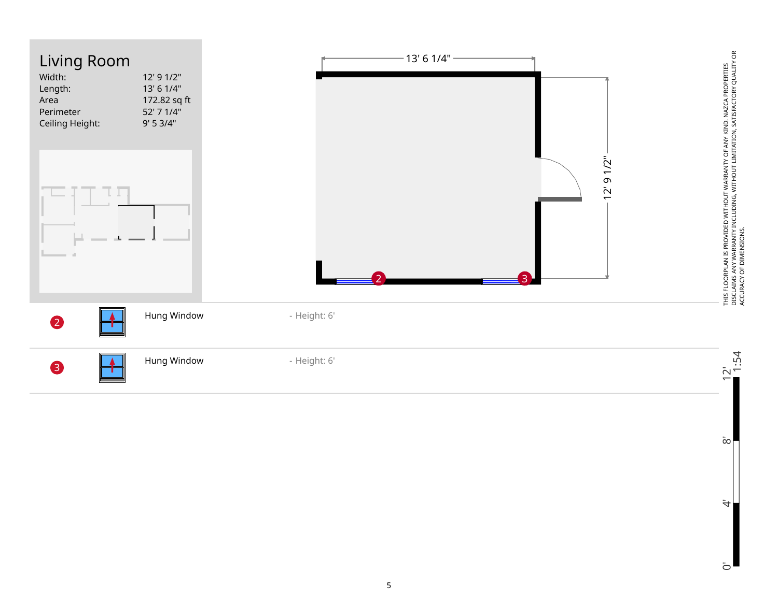

 $\bar{\infty}$ 

 $\ddot{\tau}$ 

 $\bar{c}$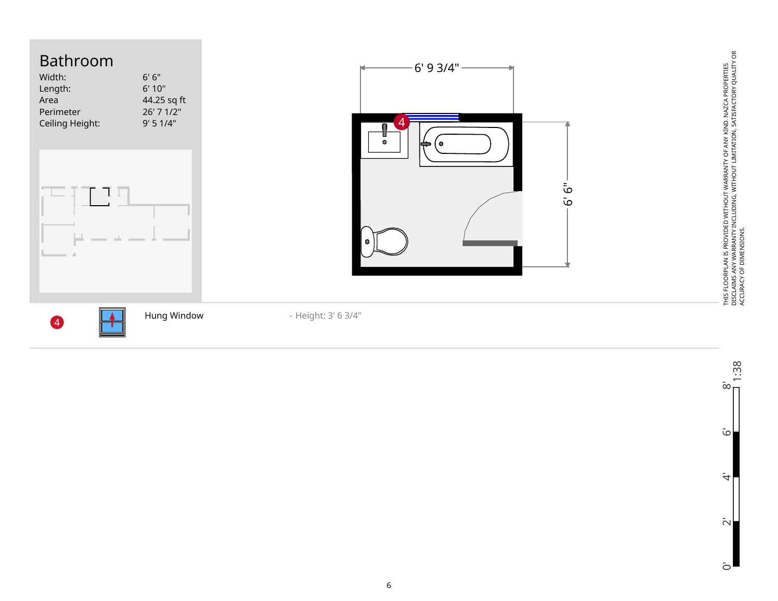

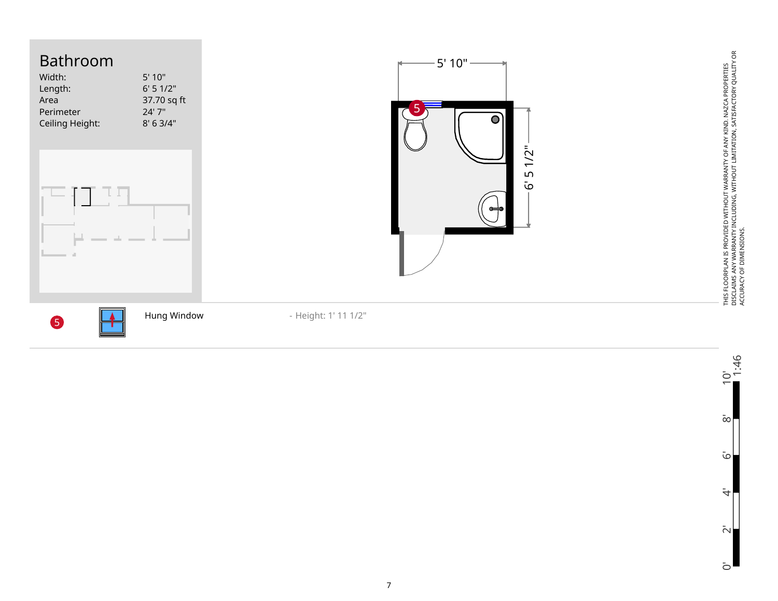

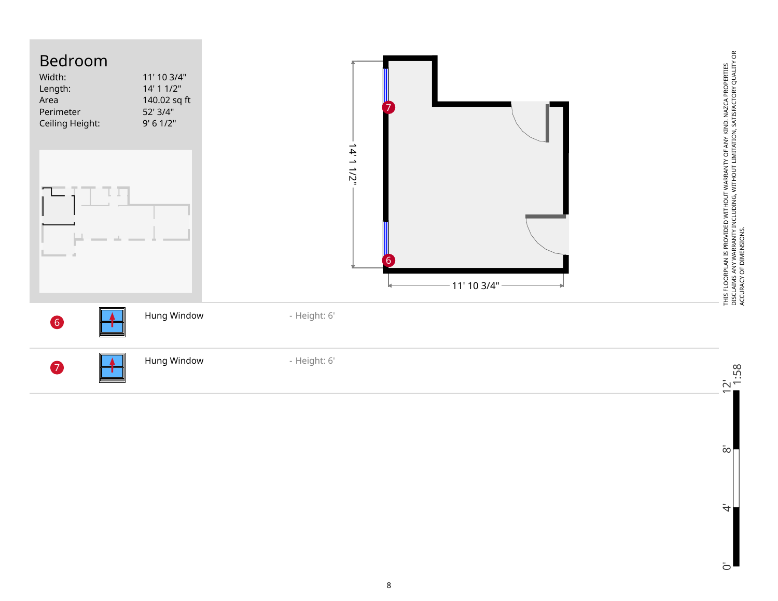

 $\rm \bar{\infty}$ 

 $\ddot{\tau}$ 

 $\overline{O}$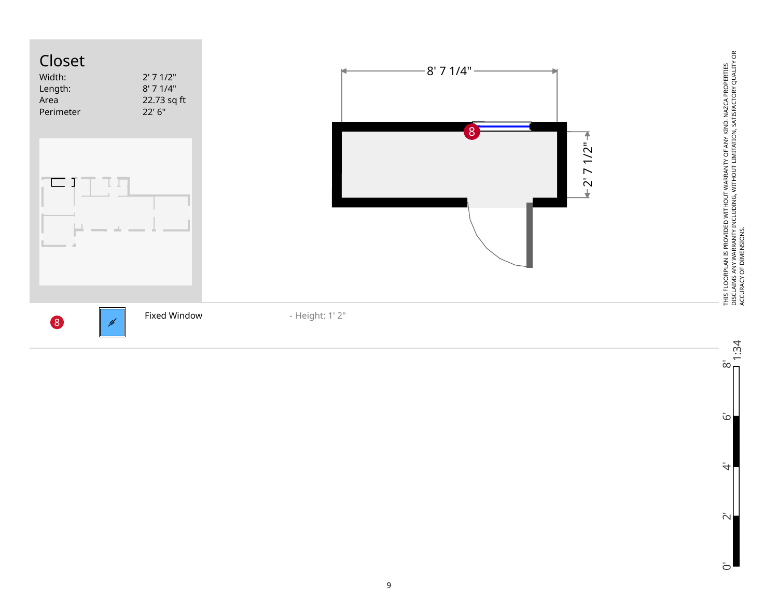



 $\overline{\omega}$ 

 $\ddot{\tau}$ 

 $\bar{\sim}$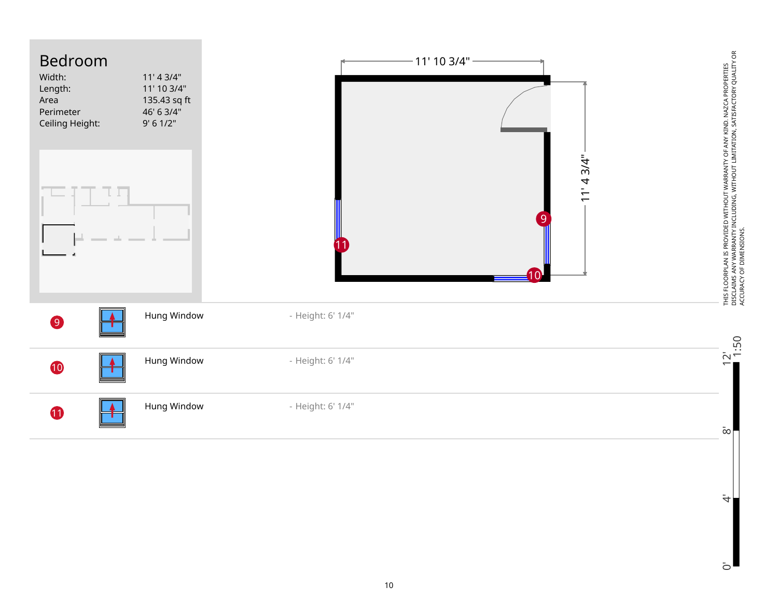

 $\dot{\overline{z}}$ 

 $\bar{c}$